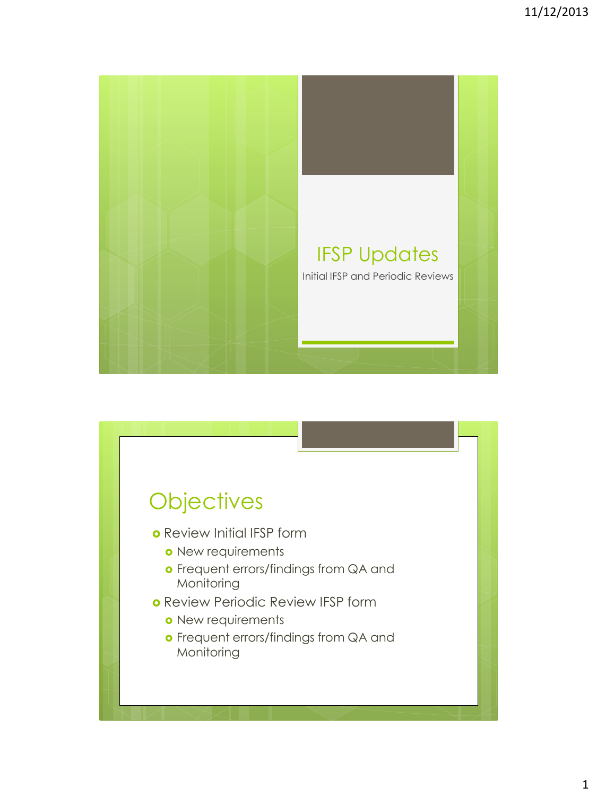

# **Objectives**

- o Review Initial IFSP form
	- o New requirements
	- **o** Frequent errors/findings from QA and Monitoring
- o Review Periodic Review IFSP form
	- o New requirements
	- **o** Frequent errors/findings from QA and Monitoring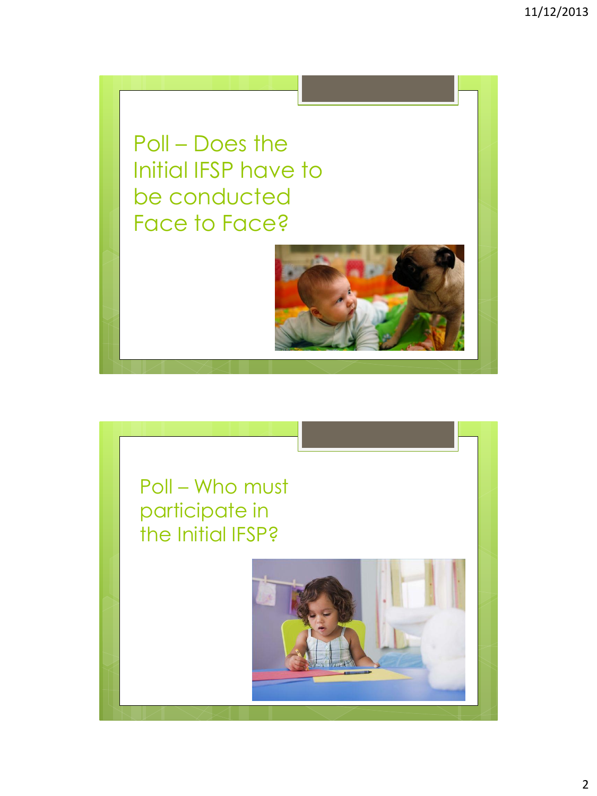Poll – Does the Initial IFSP have to be conducted Face to Face?



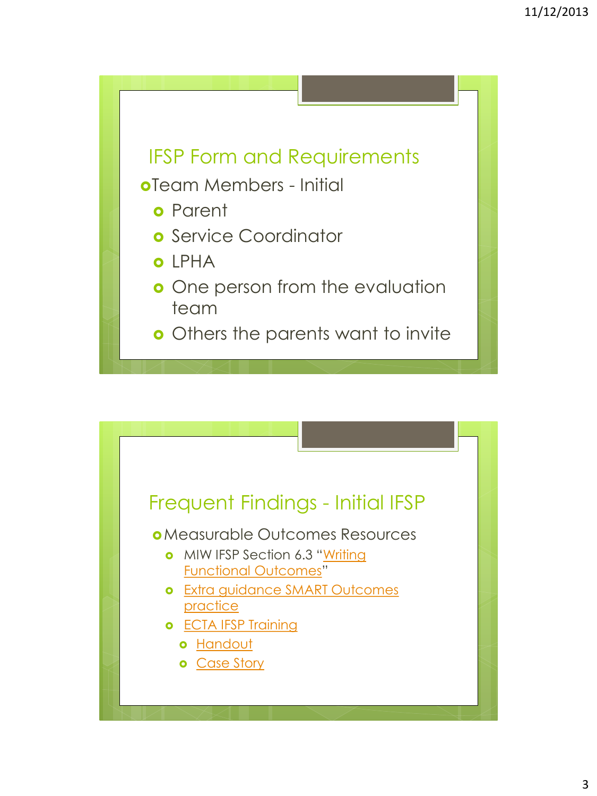

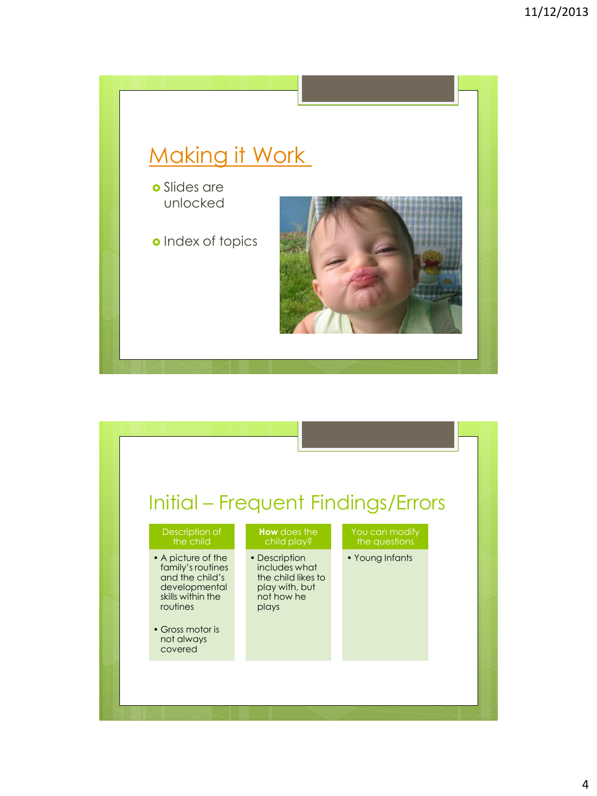

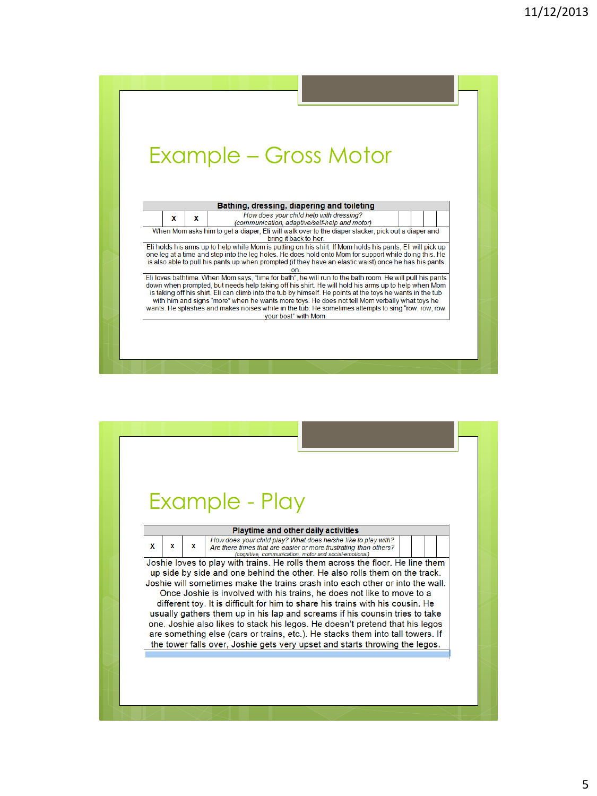

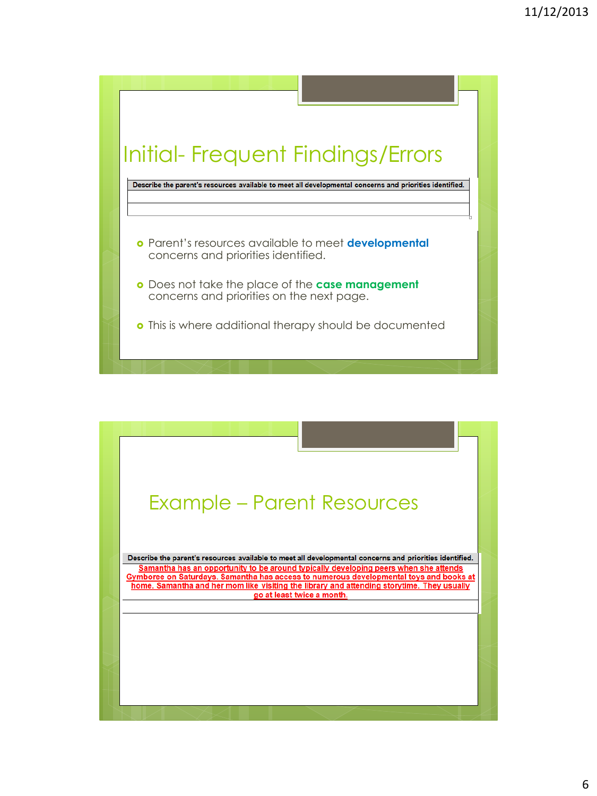

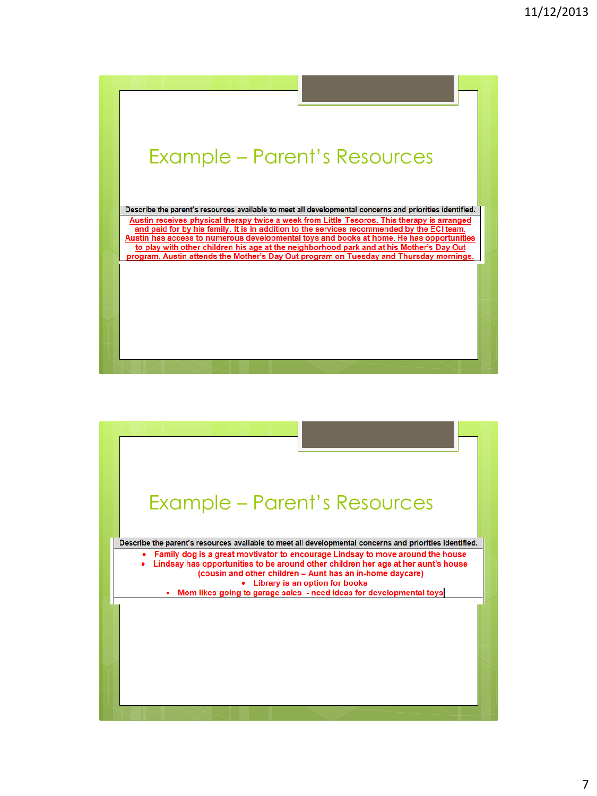

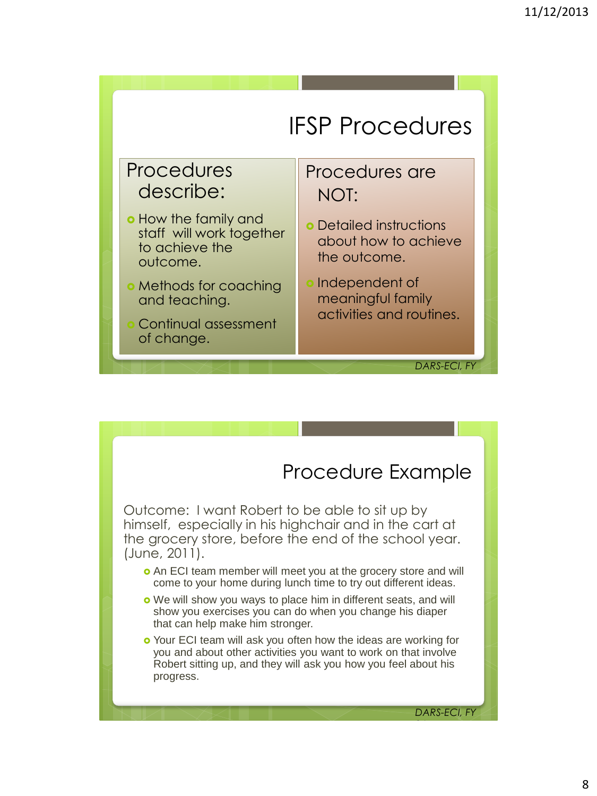

### Procedures describe:

- **o** How the family and staff will work together to achieve the outcome.
- Methods for coaching and teaching.
- Continual assessment of change.

### Procedures are NOT:

- Detailed instructions about how to achieve the outcome.
- Independent of meaningful family activities and routines.

### *DARS-ECI, FY 14*

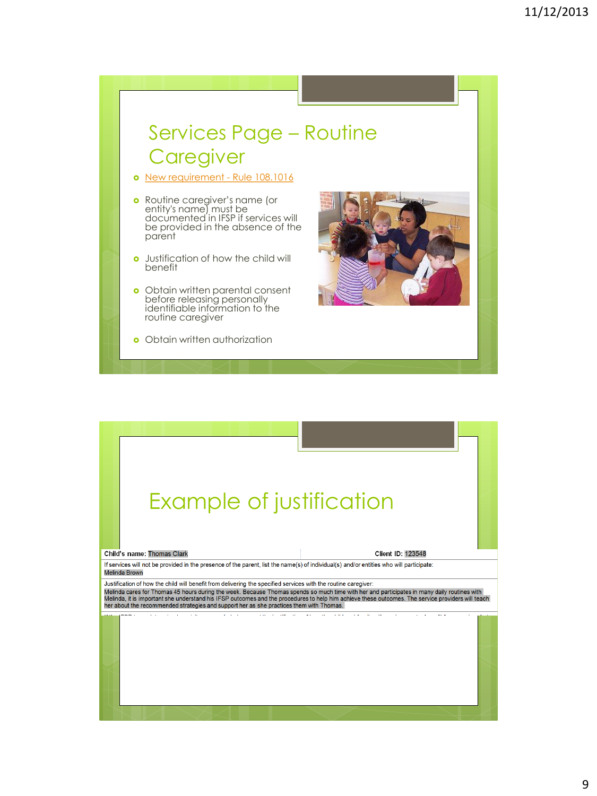## Services Page – Routine **Caregiver**

- o [New requirement -](http://info.sos.state.tx.us/pls/pub/readtac$ext.TacPage?sl=R&app=9&p_dir=&p_rloc=&p_tloc=&p_ploc=&pg=1&p_tac=&ti=40&pt=2&ch=108&rl=1016) Rule 108.1016
- Routine caregiver's name (or entity's name) must be documented in IFSP if services will be provided in the absence of the parent
- **o** Justification of how the child will benefit
- **o** Obtain written parental consent before releasing personally identifiable information to the routine caregiver
- **o** Obtain written authorization



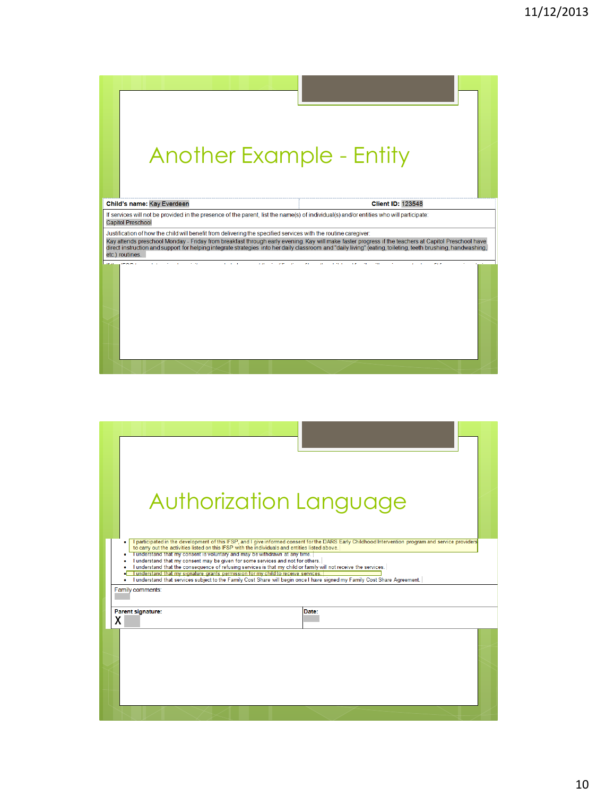

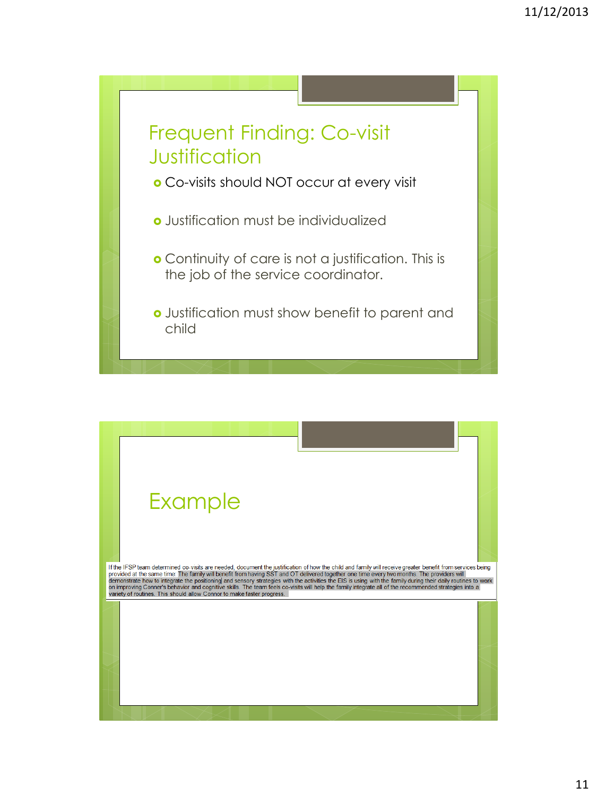![](_page_10_Figure_1.jpeg)

![](_page_10_Figure_2.jpeg)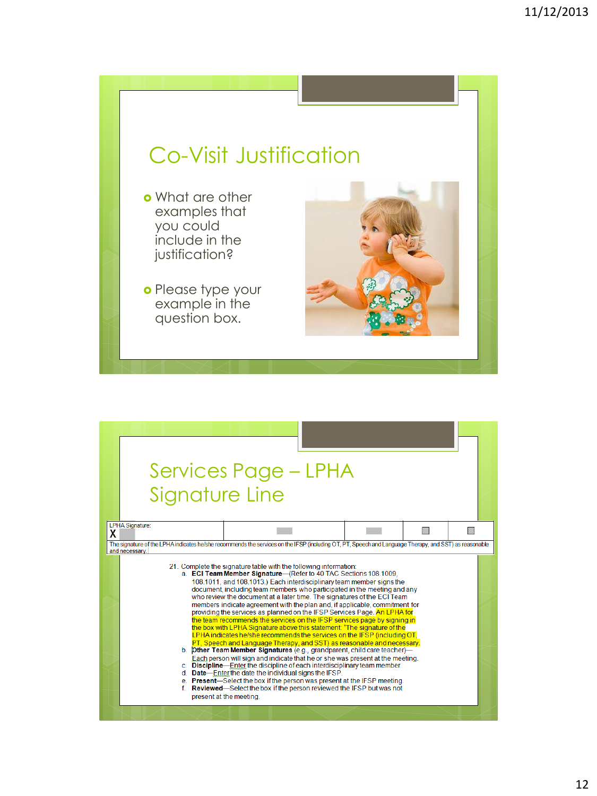# Co-Visit Justification

- o What are other examples that you could include in the justification?
- o Please type your example in the question box.

![](_page_11_Picture_4.jpeg)

![](_page_11_Figure_5.jpeg)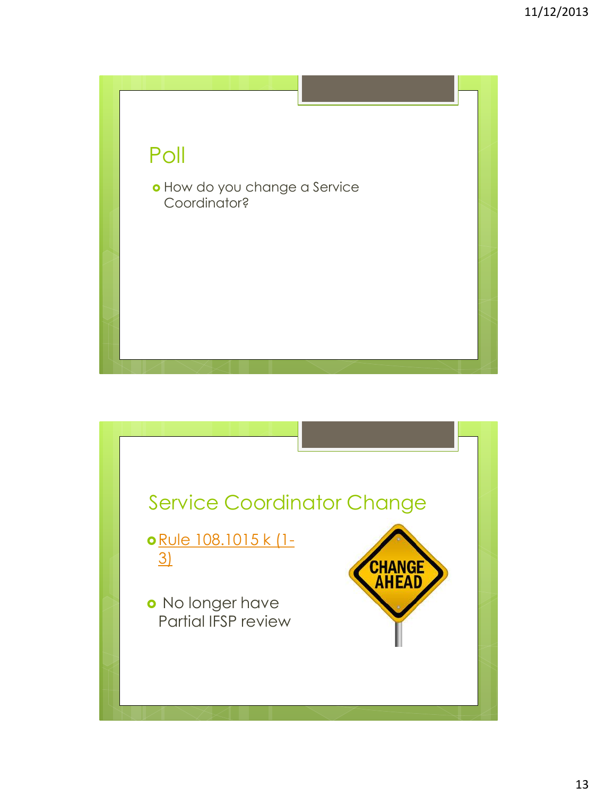![](_page_12_Picture_1.jpeg)

![](_page_12_Figure_2.jpeg)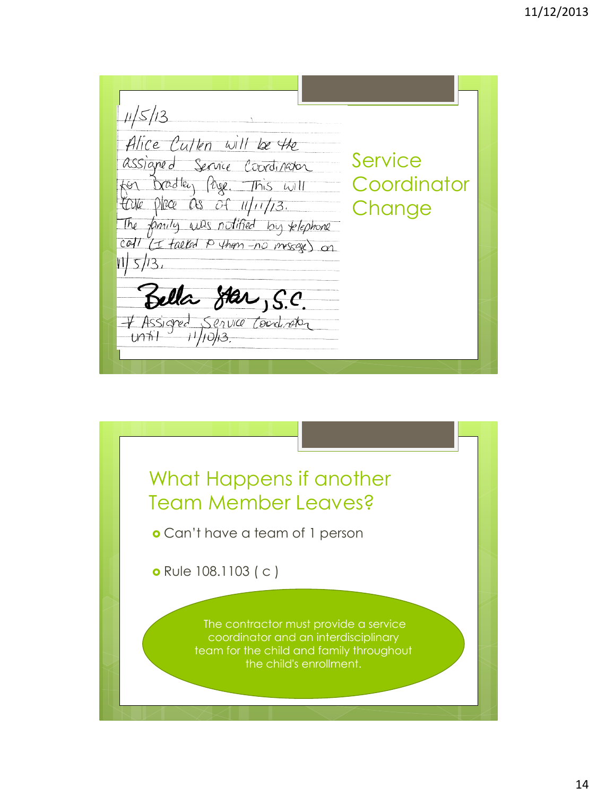$11/5/13$ Alice Culten will be the **Service** assigned Service Coordinator for Bradley Page. This will **Coordinator** take place as of 11/11/13. **Change** The family was notified by relephone call (I falled P them -no message) on  $|1|5/3$ , Bella Star, S.C. - Assigned Service Coordinator

![](_page_13_Picture_2.jpeg)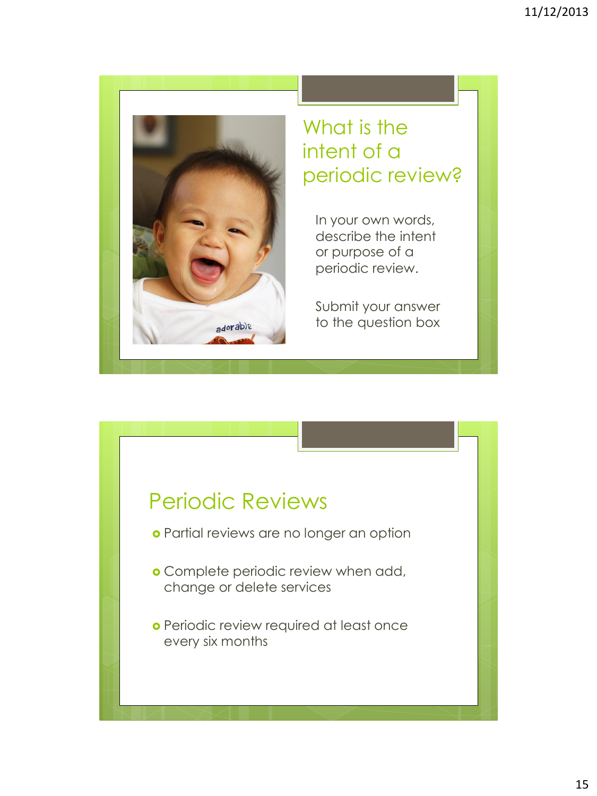![](_page_14_Picture_1.jpeg)

# What is the intent of a periodic review?

In your own words, describe the intent or purpose of a periodic review.

Submit your answer to the question box

# Periodic Reviews

- o Partial reviews are no longer an option
- **o** Complete periodic review when add, change or delete services
- o Periodic review required at least once every six months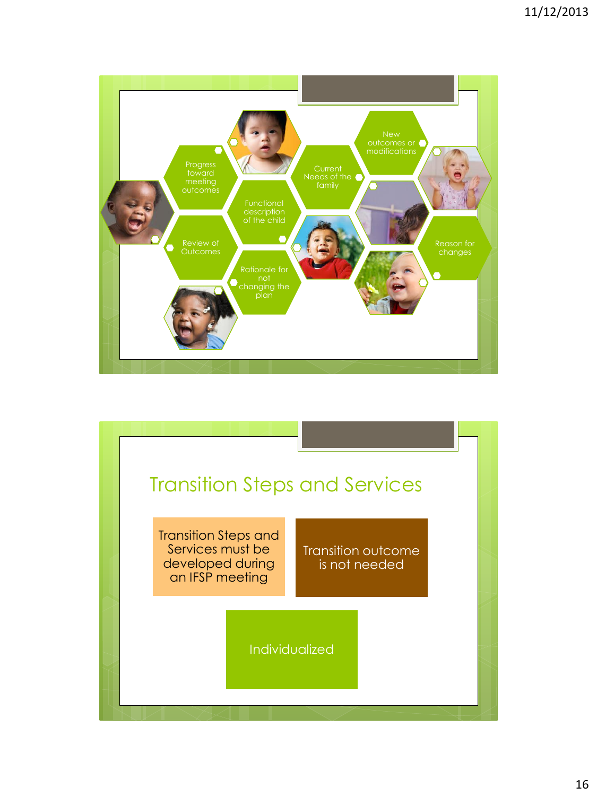![](_page_15_Figure_1.jpeg)

![](_page_15_Figure_2.jpeg)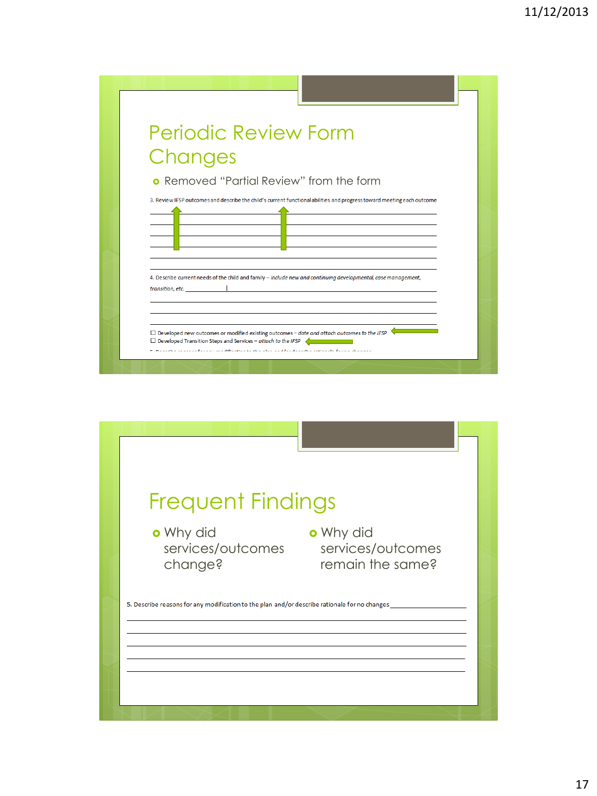![](_page_16_Figure_1.jpeg)

![](_page_16_Picture_2.jpeg)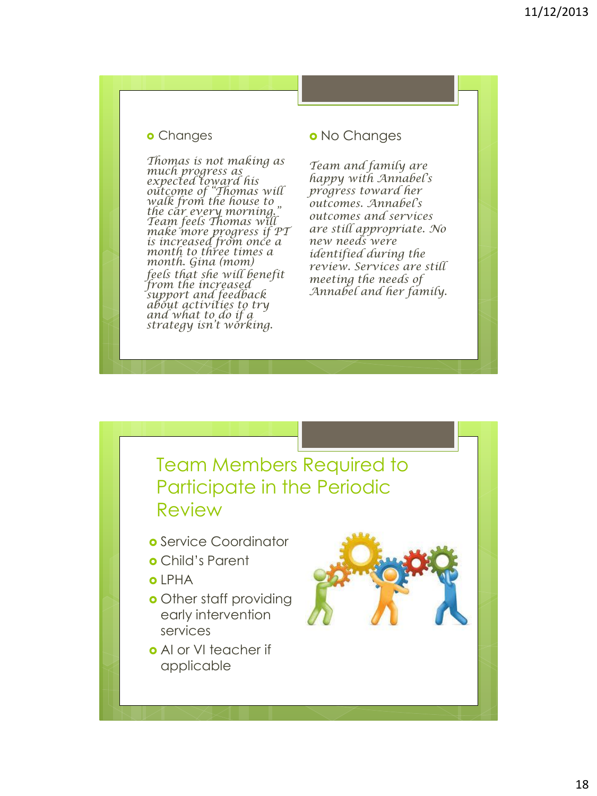#### **o** Changes

*Thomas is not making as much progress as expected toward his outcome of "Thomas will walk from the house to the car every morning." Team feels Thomas will make more progress if PT is increased from once a month to three times a month. Gina (mom) feels that she will benefit from the increased support and feedback about activities to try and what to do if a strategy isn't working.* 

#### o No Changes

*Team and family are happy with Annabel's progress toward her outcomes. Annabel's outcomes and services are still appropriate. No new needs were identified during the review. Services are still meeting the needs of Annabel and her family.* 

![](_page_17_Picture_5.jpeg)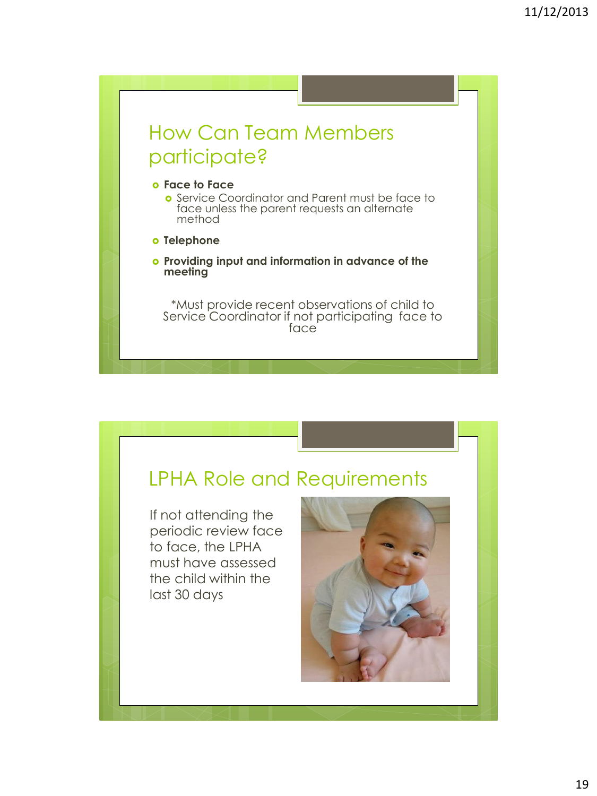## How Can Team Members participate?

#### **Face to Face**

**o** Service Coordinator and Parent must be face to face unless the parent requests an alternate method

- **o** Telephone
- **Providing input and information in advance of the meeting**

\*Must provide recent observations of child to Service Coordinator if not participating face to face

### LPHA Role and Requirements

If not attending the periodic review face to face, the LPHA must have assessed the child within the last 30 days

![](_page_18_Picture_9.jpeg)